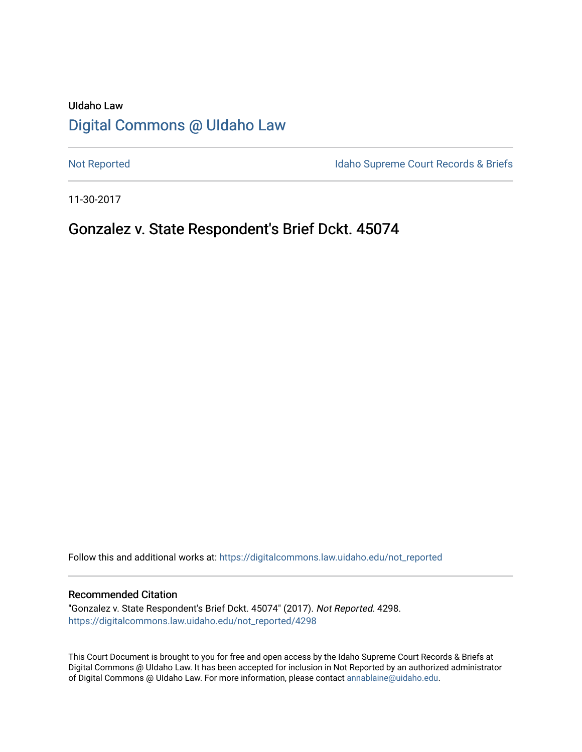## UIdaho Law [Digital Commons @ UIdaho Law](https://digitalcommons.law.uidaho.edu/)

[Not Reported](https://digitalcommons.law.uidaho.edu/not_reported) **Idaho Supreme Court Records & Briefs** 

11-30-2017

## Gonzalez v. State Respondent's Brief Dckt. 45074

Follow this and additional works at: [https://digitalcommons.law.uidaho.edu/not\\_reported](https://digitalcommons.law.uidaho.edu/not_reported?utm_source=digitalcommons.law.uidaho.edu%2Fnot_reported%2F4298&utm_medium=PDF&utm_campaign=PDFCoverPages) 

#### Recommended Citation

"Gonzalez v. State Respondent's Brief Dckt. 45074" (2017). Not Reported. 4298. [https://digitalcommons.law.uidaho.edu/not\\_reported/4298](https://digitalcommons.law.uidaho.edu/not_reported/4298?utm_source=digitalcommons.law.uidaho.edu%2Fnot_reported%2F4298&utm_medium=PDF&utm_campaign=PDFCoverPages)

This Court Document is brought to you for free and open access by the Idaho Supreme Court Records & Briefs at Digital Commons @ UIdaho Law. It has been accepted for inclusion in Not Reported by an authorized administrator of Digital Commons @ UIdaho Law. For more information, please contact [annablaine@uidaho.edu](mailto:annablaine@uidaho.edu).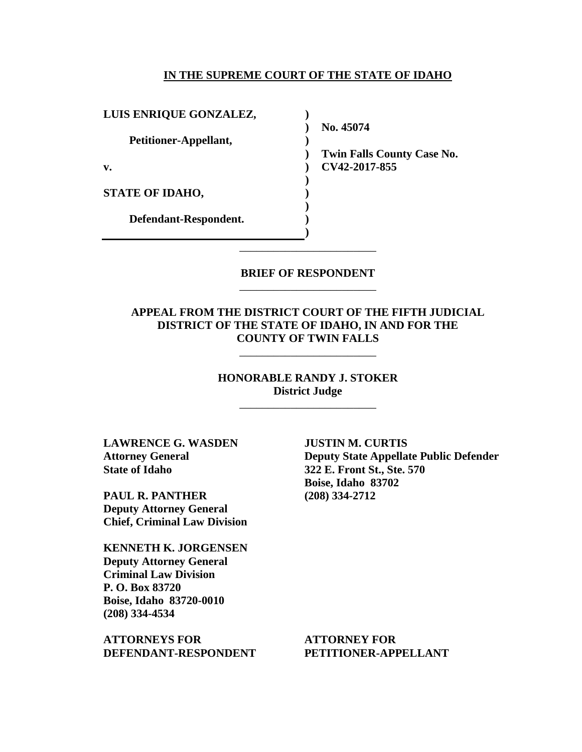#### **IN THE SUPREME COURT OF THE STATE OF IDAHO**

**)**

**)** 

**) ) ) ) ) )**

**LUIS ENRIQUE GONZALEZ,**

**Petitioner-Appellant,**

**v.**

**STATE OF IDAHO,**

**Defendant-Respondent.**

**) No. 45074** 

**) Twin Falls County Case No. CV42-2017-855** 

**BRIEF OF RESPONDENT** \_\_\_\_\_\_\_\_\_\_\_\_\_\_\_\_\_\_\_\_\_\_\_\_

\_\_\_\_\_\_\_\_\_\_\_\_\_\_\_\_\_\_\_\_\_\_\_\_

### **APPEAL FROM THE DISTRICT COURT OF THE FIFTH JUDICIAL DISTRICT OF THE STATE OF IDAHO, IN AND FOR THE COUNTY OF TWIN FALLS**

\_\_\_\_\_\_\_\_\_\_\_\_\_\_\_\_\_\_\_\_\_\_\_\_

## **HONORABLE RANDY J. STOKER District Judge**

\_\_\_\_\_\_\_\_\_\_\_\_\_\_\_\_\_\_\_\_\_\_\_\_

**LAWRENCE G. WASDEN Attorney General State of Idaho**

**PAUL R. PANTHER Deputy Attorney General Chief, Criminal Law Division**

**KENNETH K. JORGENSEN Deputy Attorney General Criminal Law Division P. O. Box 83720 Boise, Idaho 83720-0010 (208) 334-4534** 

**ATTORNEYS FOR DEFENDANT-RESPONDENT**

**JUSTIN M. CURTIS Deputy State Appellate Public Defender 322 E. Front St., Ste. 570 Boise, Idaho 83702 (208) 334-2712** 

**ATTORNEY FOR PETITIONER-APPELLANT**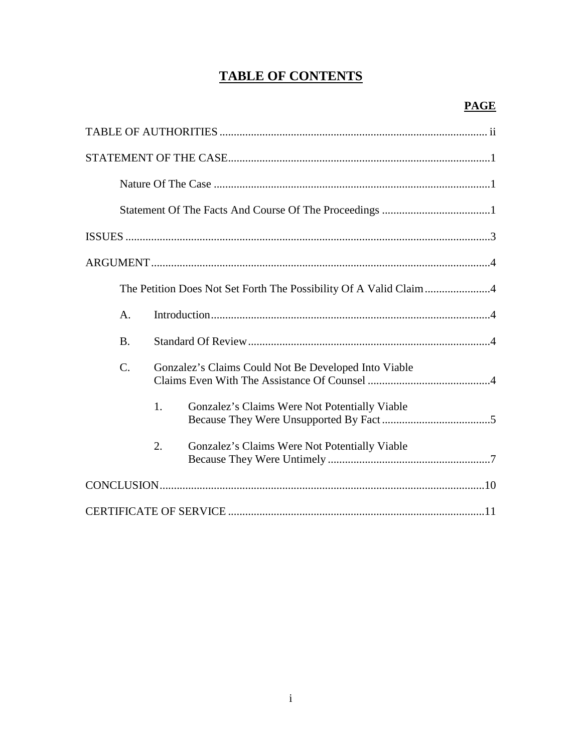# **TABLE OF CONTENTS**

| А.        |                                                      |                                               |  |
|-----------|------------------------------------------------------|-----------------------------------------------|--|
| <b>B.</b> |                                                      |                                               |  |
| C.        | Gonzalez's Claims Could Not Be Developed Into Viable |                                               |  |
|           | 1.                                                   | Gonzalez's Claims Were Not Potentially Viable |  |
|           | 2.                                                   | Gonzalez's Claims Were Not Potentially Viable |  |
|           |                                                      |                                               |  |
|           |                                                      |                                               |  |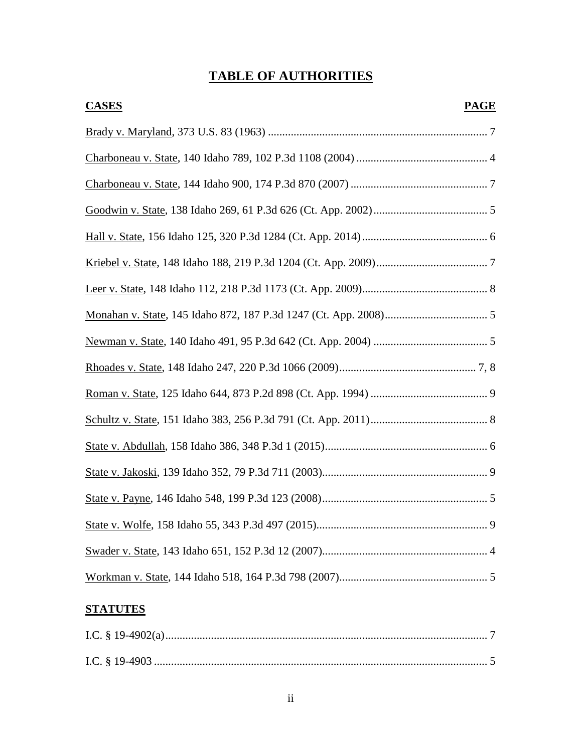# **TABLE OF AUTHORITIES**

| <b>CASES</b> | <b>PAGE</b> |
|--------------|-------------|
|              |             |
|              |             |
|              |             |
|              |             |
|              |             |
|              |             |
|              |             |
|              |             |
|              |             |
|              |             |
|              |             |
|              |             |
|              |             |
|              |             |
|              |             |
|              |             |
|              |             |
|              |             |

## **STATUTES**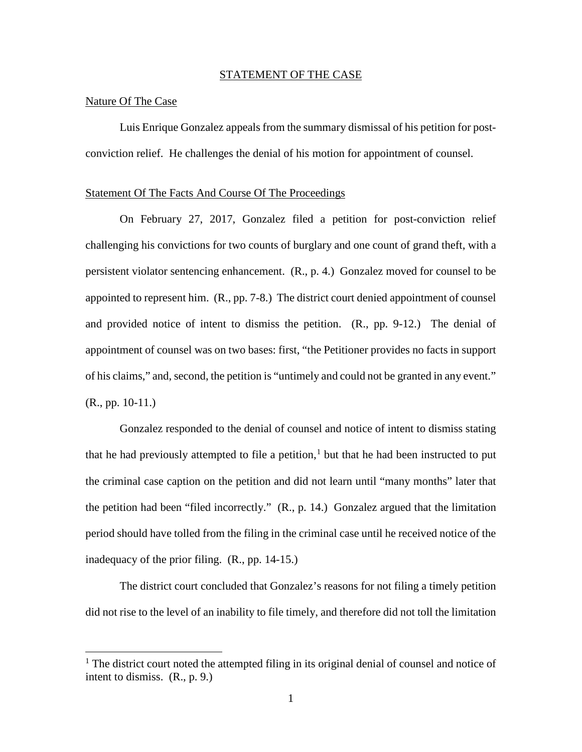#### STATEMENT OF THE CASE

#### Nature Of The Case

 $\overline{a}$ 

Luis Enrique Gonzalez appeals from the summary dismissal of his petition for postconviction relief. He challenges the denial of his motion for appointment of counsel.

#### Statement Of The Facts And Course Of The Proceedings

On February 27, 2017, Gonzalez filed a petition for post-conviction relief challenging his convictions for two counts of burglary and one count of grand theft, with a persistent violator sentencing enhancement. (R., p. 4.) Gonzalez moved for counsel to be appointed to represent him. (R., pp. 7-8.) The district court denied appointment of counsel and provided notice of intent to dismiss the petition. (R., pp. 9-12.) The denial of appointment of counsel was on two bases: first, "the Petitioner provides no facts in support of his claims," and, second, the petition is "untimely and could not be granted in any event." (R., pp. 10-11.)

Gonzalez responded to the denial of counsel and notice of intent to dismiss stating that he had previously attempted to file a petition,<sup>[1](#page-4-0)</sup> but that he had been instructed to put the criminal case caption on the petition and did not learn until "many months" later that the petition had been "filed incorrectly." (R., p. 14.) Gonzalez argued that the limitation period should have tolled from the filing in the criminal case until he received notice of the inadequacy of the prior filing. (R., pp. 14-15.)

The district court concluded that Gonzalez's reasons for not filing a timely petition did not rise to the level of an inability to file timely, and therefore did not toll the limitation

<span id="page-4-0"></span><sup>&</sup>lt;sup>1</sup> The district court noted the attempted filing in its original denial of counsel and notice of intent to dismiss. (R., p. 9.)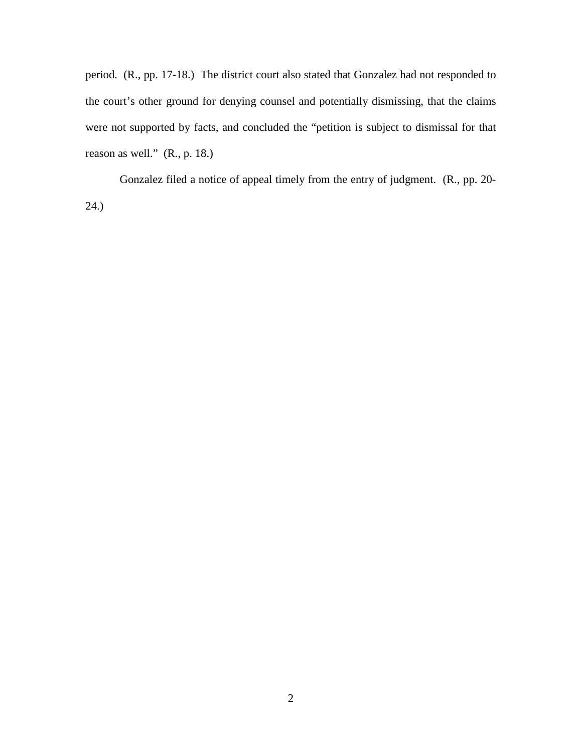period. (R., pp. 17-18.) The district court also stated that Gonzalez had not responded to the court's other ground for denying counsel and potentially dismissing, that the claims were not supported by facts, and concluded the "petition is subject to dismissal for that reason as well." (R., p. 18.)

Gonzalez filed a notice of appeal timely from the entry of judgment. (R., pp. 20- 24.)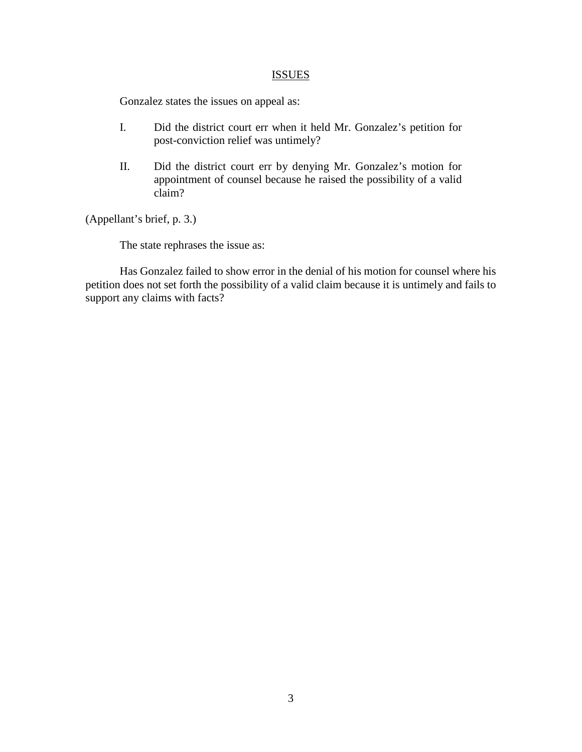#### **ISSUES**

Gonzalez states the issues on appeal as:

- I. Did the district court err when it held Mr. Gonzalez's petition for post-conviction relief was untimely?
- II. Did the district court err by denying Mr. Gonzalez's motion for appointment of counsel because he raised the possibility of a valid claim?

(Appellant's brief, p. 3.)

The state rephrases the issue as:

Has Gonzalez failed to show error in the denial of his motion for counsel where his petition does not set forth the possibility of a valid claim because it is untimely and fails to support any claims with facts?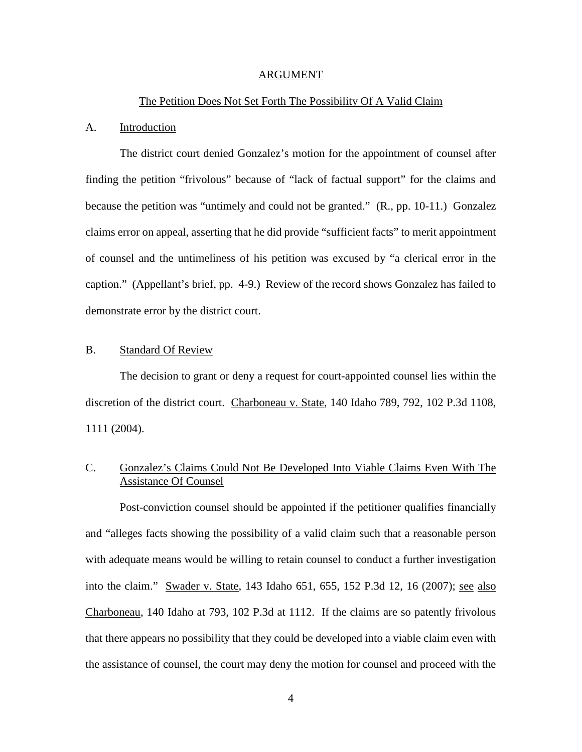#### ARGUMENT

#### The Petition Does Not Set Forth The Possibility Of A Valid Claim

#### A. Introduction

The district court denied Gonzalez's motion for the appointment of counsel after finding the petition "frivolous" because of "lack of factual support" for the claims and because the petition was "untimely and could not be granted." (R., pp. 10-11.) Gonzalez claims error on appeal, asserting that he did provide "sufficient facts" to merit appointment of counsel and the untimeliness of his petition was excused by "a clerical error in the caption." (Appellant's brief, pp. 4-9.) Review of the record shows Gonzalez has failed to demonstrate error by the district court.

### B. Standard Of Review

The decision to grant or deny a request for court-appointed counsel lies within the discretion of the district court. Charboneau v. State, 140 Idaho 789, 792, 102 P.3d 1108, 1111 (2004).

## C. Gonzalez's Claims Could Not Be Developed Into Viable Claims Even With The Assistance Of Counsel

 Post-conviction counsel should be appointed if the petitioner qualifies financially and "alleges facts showing the possibility of a valid claim such that a reasonable person with adequate means would be willing to retain counsel to conduct a further investigation into the claim." Swader v. State, 143 Idaho 651, 655, 152 P.3d 12, 16 (2007); see also Charboneau, 140 Idaho at 793, 102 P.3d at 1112. If the claims are so patently frivolous that there appears no possibility that they could be developed into a viable claim even with the assistance of counsel, the court may deny the motion for counsel and proceed with the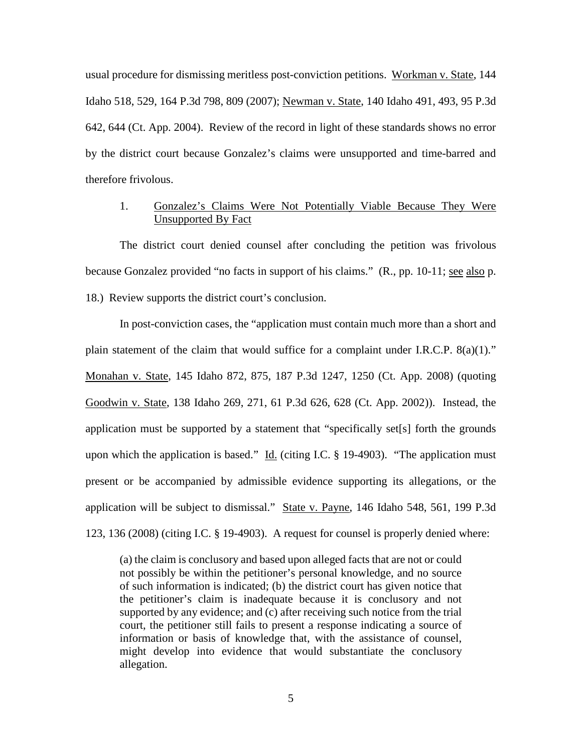usual procedure for dismissing meritless post-conviction petitions. Workman v. State, 144 Idaho 518, 529, 164 P.3d 798, 809 (2007); Newman v. State, 140 Idaho 491, 493, 95 P.3d 642, 644 (Ct. App. 2004). Review of the record in light of these standards shows no error by the district court because Gonzalez's claims were unsupported and time-barred and therefore frivolous.

## 1. Gonzalez's Claims Were Not Potentially Viable Because They Were Unsupported By Fact

The district court denied counsel after concluding the petition was frivolous because Gonzalez provided "no facts in support of his claims." (R., pp. 10-11; see also p. 18.) Review supports the district court's conclusion.

In post-conviction cases, the "application must contain much more than a short and plain statement of the claim that would suffice for a complaint under I.R.C.P. 8(a)(1)." Monahan v. State, 145 Idaho 872, 875, 187 P.3d 1247, 1250 (Ct. App. 2008) (quoting Goodwin v. State, 138 Idaho 269, 271, 61 P.3d 626, 628 (Ct. App. 2002)). Instead, the application must be supported by a statement that "specifically set[s] forth the grounds upon which the application is based."  $\underline{Id}$ . (citing I.C. § 19-4903). "The application must present or be accompanied by admissible evidence supporting its allegations, or the application will be subject to dismissal." State v. Payne, 146 Idaho 548, 561, 199 P.3d 123, 136 (2008) (citing I.C. § 19-4903). A request for counsel is properly denied where:

(a) the claim is conclusory and based upon alleged facts that are not or could not possibly be within the petitioner's personal knowledge, and no source of such information is indicated; (b) the district court has given notice that the petitioner's claim is inadequate because it is conclusory and not supported by any evidence; and (c) after receiving such notice from the trial court, the petitioner still fails to present a response indicating a source of information or basis of knowledge that, with the assistance of counsel, might develop into evidence that would substantiate the conclusory allegation.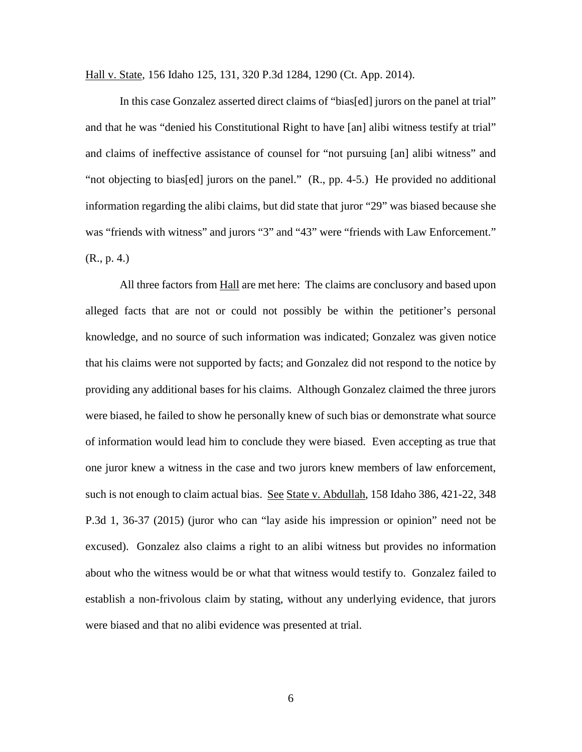Hall v. State, 156 Idaho 125, 131, 320 P.3d 1284, 1290 (Ct. App. 2014).

In this case Gonzalez asserted direct claims of "bias[ed] jurors on the panel at trial" and that he was "denied his Constitutional Right to have [an] alibi witness testify at trial" and claims of ineffective assistance of counsel for "not pursuing [an] alibi witness" and "not objecting to bias[ed] jurors on the panel." (R., pp. 4-5.) He provided no additional information regarding the alibi claims, but did state that juror "29" was biased because she was "friends with witness" and jurors "3" and "43" were "friends with Law Enforcement." (R., p. 4.)

All three factors from **Hall** are met here: The claims are conclusory and based upon alleged facts that are not or could not possibly be within the petitioner's personal knowledge, and no source of such information was indicated; Gonzalez was given notice that his claims were not supported by facts; and Gonzalez did not respond to the notice by providing any additional bases for his claims. Although Gonzalez claimed the three jurors were biased, he failed to show he personally knew of such bias or demonstrate what source of information would lead him to conclude they were biased. Even accepting as true that one juror knew a witness in the case and two jurors knew members of law enforcement, such is not enough to claim actual bias. See State v. Abdullah, 158 Idaho 386, 421-22, 348 P.3d 1, 36-37 (2015) (juror who can "lay aside his impression or opinion" need not be excused). Gonzalez also claims a right to an alibi witness but provides no information about who the witness would be or what that witness would testify to. Gonzalez failed to establish a non-frivolous claim by stating, without any underlying evidence, that jurors were biased and that no alibi evidence was presented at trial.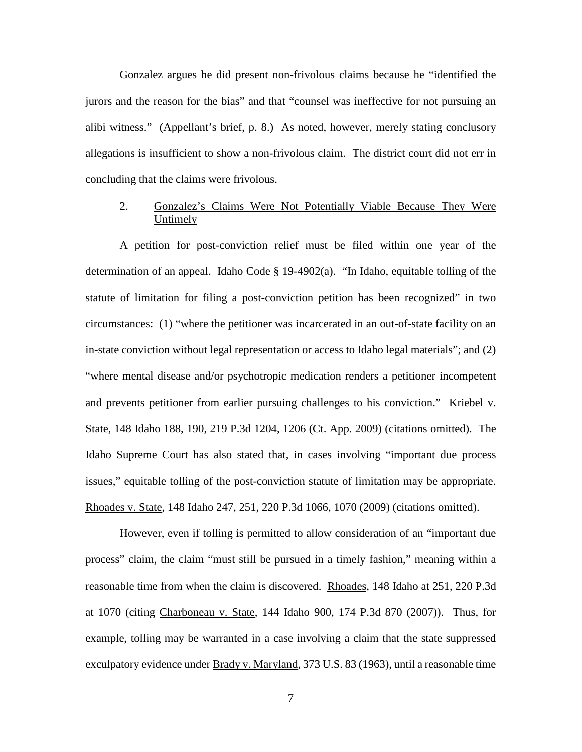Gonzalez argues he did present non-frivolous claims because he "identified the jurors and the reason for the bias" and that "counsel was ineffective for not pursuing an alibi witness." (Appellant's brief, p. 8.) As noted, however, merely stating conclusory allegations is insufficient to show a non-frivolous claim. The district court did not err in concluding that the claims were frivolous.

## 2. Gonzalez's Claims Were Not Potentially Viable Because They Were Untimely

A petition for post-conviction relief must be filed within one year of the determination of an appeal. Idaho Code § 19-4902(a). "In Idaho, equitable tolling of the statute of limitation for filing a post-conviction petition has been recognized" in two circumstances: (1) "where the petitioner was incarcerated in an out-of-state facility on an in-state conviction without legal representation or access to Idaho legal materials"; and (2) "where mental disease and/or psychotropic medication renders a petitioner incompetent and prevents petitioner from earlier pursuing challenges to his conviction." Kriebel v. State, 148 Idaho 188, 190, 219 P.3d 1204, 1206 (Ct. App. 2009) (citations omitted). The Idaho Supreme Court has also stated that, in cases involving "important due process issues," equitable tolling of the post-conviction statute of limitation may be appropriate. Rhoades v. State, 148 Idaho 247, 251, 220 P.3d 1066, 1070 (2009) (citations omitted).

However, even if tolling is permitted to allow consideration of an "important due process" claim, the claim "must still be pursued in a timely fashion," meaning within a reasonable time from when the claim is discovered. Rhoades, 148 Idaho at 251, 220 P.3d at 1070 (citing Charboneau v. State, 144 Idaho 900, 174 P.3d 870 (2007)). Thus, for example, tolling may be warranted in a case involving a claim that the state suppressed exculpatory evidence under Brady v. Maryland, 373 U.S. 83 (1963), until a reasonable time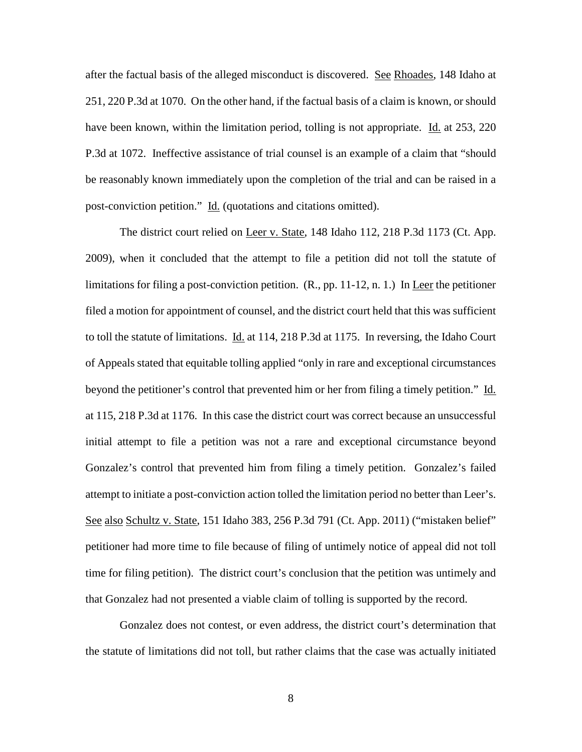after the factual basis of the alleged misconduct is discovered. See Rhoades, 148 Idaho at 251, 220 P.3d at 1070. On the other hand, if the factual basis of a claim is known, or should have been known, within the limitation period, tolling is not appropriate. Id. at 253, 220 P.3d at 1072. Ineffective assistance of trial counsel is an example of a claim that "should be reasonably known immediately upon the completion of the trial and can be raised in a post-conviction petition." Id. (quotations and citations omitted).

The district court relied on Leer v. State, 148 Idaho 112, 218 P.3d 1173 (Ct. App. 2009), when it concluded that the attempt to file a petition did not toll the statute of limitations for filing a post-conviction petition.  $(R_n, pp. 11-12, n. 1.)$  In Leer the petitioner filed a motion for appointment of counsel, and the district court held that this was sufficient to toll the statute of limitations. Id. at 114, 218 P.3d at 1175. In reversing, the Idaho Court of Appeals stated that equitable tolling applied "only in rare and exceptional circumstances beyond the petitioner's control that prevented him or her from filing a timely petition." Id. at 115, 218 P.3d at 1176. In this case the district court was correct because an unsuccessful initial attempt to file a petition was not a rare and exceptional circumstance beyond Gonzalez's control that prevented him from filing a timely petition. Gonzalez's failed attempt to initiate a post-conviction action tolled the limitation period no better than Leer's. See also Schultz v. State, 151 Idaho 383, 256 P.3d 791 (Ct. App. 2011) ("mistaken belief" petitioner had more time to file because of filing of untimely notice of appeal did not toll time for filing petition). The district court's conclusion that the petition was untimely and that Gonzalez had not presented a viable claim of tolling is supported by the record.

Gonzalez does not contest, or even address, the district court's determination that the statute of limitations did not toll, but rather claims that the case was actually initiated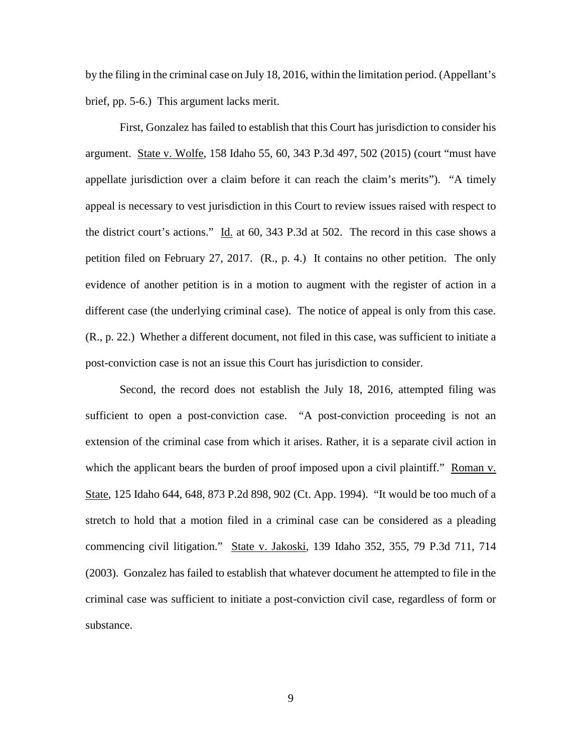by the filing in the criminal case on July 18, 2016, within the limitation period. (Appellant's brief, pp. 5-6.) This argument lacks merit.

First, Gonzalez has failed to establish that this Court has jurisdiction to consider his argument. State v. Wolfe, 158 Idaho 55, 60, 343 P.3d 497, 502 (2015) (court "must have appellate jurisdiction over a claim before it can reach the claim's merits"). "A timely appeal is necessary to vest jurisdiction in this Court to review issues raised with respect to the district court's actions." Id. at 60, 343 P.3d at 502. The record in this case shows a petition filed on February 27, 2017. (R., p. 4.) It contains no other petition. The only evidence of another petition is in a motion to augment with the register of action in a different case (the underlying criminal case). The notice of appeal is only from this case. (R., p. 22.) Whether a different document, not filed in this case, was sufficient to initiate a post-conviction case is not an issue this Court has jurisdiction to consider.

Second, the record does not establish the July 18, 2016, attempted filing was sufficient to open a post-conviction case. "A post-conviction proceeding is not an extension of the criminal case from which it arises. Rather, it is a separate civil action in which the applicant bears the burden of proof imposed upon a civil plaintiff." Roman v. State, 125 Idaho 644, 648, 873 P.2d 898, 902 (Ct. App. 1994). "It would be too much of a stretch to hold that a motion filed in a criminal case can be considered as a pleading commencing civil litigation." State v. Jakoski, 139 Idaho 352, 355, 79 P.3d 711, 714 (2003). Gonzalez has failed to establish that whatever document he attempted to file in the criminal case was sufficient to initiate a post-conviction civil case, regardless of form or substance.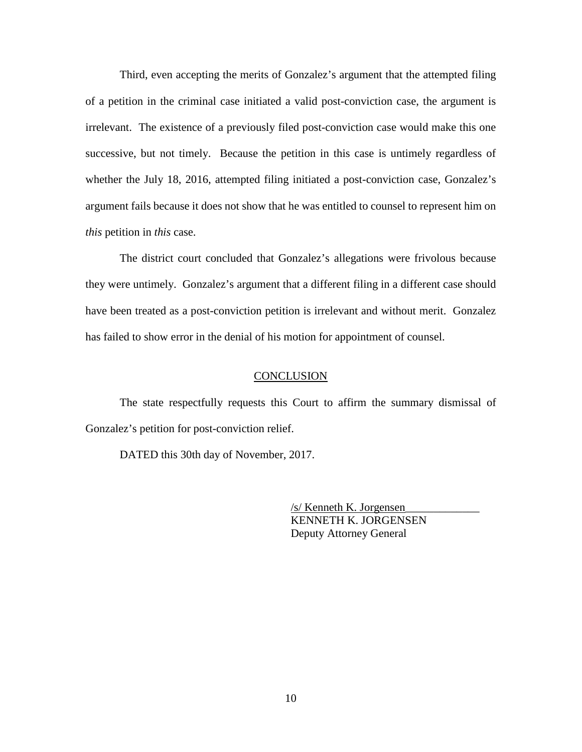Third, even accepting the merits of Gonzalez's argument that the attempted filing of a petition in the criminal case initiated a valid post-conviction case, the argument is irrelevant. The existence of a previously filed post-conviction case would make this one successive, but not timely. Because the petition in this case is untimely regardless of whether the July 18, 2016, attempted filing initiated a post-conviction case, Gonzalez's argument fails because it does not show that he was entitled to counsel to represent him on *this* petition in *this* case.

The district court concluded that Gonzalez's allegations were frivolous because they were untimely. Gonzalez's argument that a different filing in a different case should have been treated as a post-conviction petition is irrelevant and without merit. Gonzalez has failed to show error in the denial of his motion for appointment of counsel.

#### **CONCLUSION**

The state respectfully requests this Court to affirm the summary dismissal of Gonzalez's petition for post-conviction relief.

DATED this 30th day of November, 2017.

 /s/ Kenneth K. Jorgensen\_\_\_\_\_\_\_\_\_\_\_\_\_ KENNETH K. JORGENSEN Deputy Attorney General